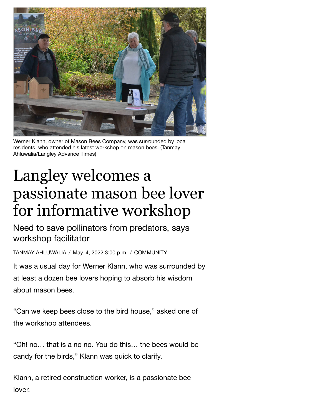

Werner Klann, owner of Mason Bees Company, was surrounded by local residents, who attended his latest workshop on mason bees. (Tanmay Ahluwalia/Langley Advance Times)

## Langley welcomes a passionate mason bee lover for informative workshop

Need to save pollinators from predators, says workshop facilitator

TANMAY [AHLUWALIA](https://www.langleyadvancetimes.com/author/tanmay-ahluwalia/) / May. 4, 2022 3:00 p.m. / [COMMUNITY](https://www.langleyadvancetimes.com/community/)

It was a usual day for Werner Klann, who was surrounded by at least a dozen bee lovers hoping to absorb his wisdom about mason bees.

"Can we keep bees close to the bird house," asked one of the workshop attendees.

"Oh! no… that is a no no. You do this… the bees would be candy for the birds," Klann was quick to clarify.

Klann, a retired construction worker, is a passionate bee lover.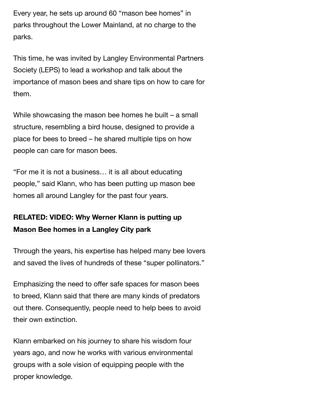Every year, he sets up around 60 "mason bee homes" in parks throughout the Lower Mainland, at no charge to the parks.

This time, he was invited by Langley Environmental Partners Society (LEPS) to lead a workshop and talk about the importance of mason bees and share tips on how to care for them.

While showcasing the mason bee homes he built – a small structure, resembling a bird house, designed to provide a place for bees to breed – he shared multiple tips on how people can care for mason bees.

"For me it is not a business… it is all about educating people," said Klann, who has been putting up mason bee homes all around Langley for the past four years.

## **[RELATED:](https://www.langleyadvancetimes.com/community/video-why-werner-klann-is-putting-up-mason-bee-homes-in-a-langley-city-park/) VIDEO: Why Werner Klann is putting up Mason Bee homes in a Langley City park**

Through the years, his expertise has helped many bee lovers and saved the lives of hundreds of these "super pollinators."

Emphasizing the need to offer safe spaces for mason bees to breed, Klann said that there are many kinds of predators out there. Consequently, people need to help bees to avoid their own extinction.

Klann embarked on his journey to share his wisdom four years ago, and now he works with various environmental groups with a sole vision of equipping people with the proper knowledge.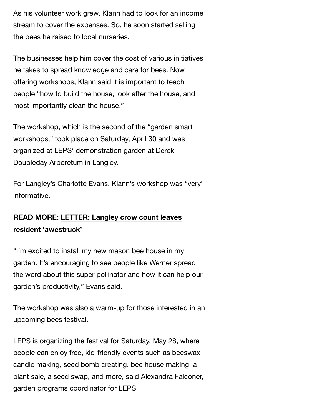As his volunteer work grew, Klann had to look for an income stream to cover the expenses. So, he soon started selling the bees he raised to local nurseries.

The businesses help him cover the cost of various initiatives he takes to spread knowledge and care for bees. Now offering workshops, Klann said it is important to teach people "how to build the house, look after the house, and most importantly clean the house."

The workshop, which is the second of the "garden smart workshops," took place on Saturday, April 30 and was organized at LEPS' demonstration garden at Derek Doubleday Arboretum in Langley.

For Langley's Charlotte Evans, Klann's workshop was "very" informative.

## **READ MORE: LETTER: Langley crow count leaves resident ['awestruck'](https://www.langleyadvancetimes.com/opinion/letter-langley-crow-count-leaves-resident-awestruck/)**

"I'm excited to install my new mason bee house in my garden. It's encouraging to see people like Werner spread the word about this super pollinator and how it can help our garden's productivity," Evans said.

The workshop was also a warm-up for those interested in an upcoming bees festival.

LEPS is organizing the festival for Saturday, May 28, where people can enjoy free, kid-friendly events such as beeswax candle making, seed bomb creating, bee house making, a plant sale, a seed swap, and more, said Alexandra Falconer, garden programs coordinator for LEPS.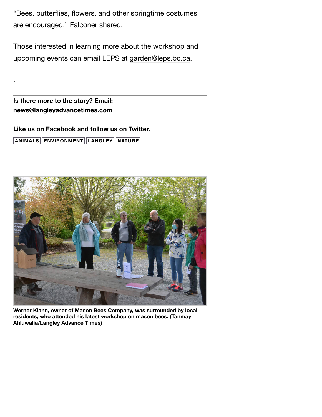"Bees, butterflies, flowers, and other springtime costumes are encouraged," Falconer shared.

Those interested in learning more about the workshop and upcoming events can email LEPS at [garden@leps.bc.ca.](https://www.langleyadvancetimes.com/community/langley-welcomes-a-passionate-mason-bee-lover-for-informative-workshop/garden.leps.bc.ca)

**Is there more to the story? Email: [news@langleyadvancetimes.com](mailto:roxanne.hooper@langleyadvancetimes.com)**

.

**Like us on [Facebook](https://www.facebook.com/LangleyAdvanceTimes/) and follow us on [Twitter](https://twitter.com/LangleyTimes). [ANIMALS](https://www.langleyadvancetimes.com/tag/animals/) [ENVIRONMENT](https://www.langleyadvancetimes.com/tag/environment/) [LANGLEY](https://www.langleyadvancetimes.com/tag/langley/) [NATURE](https://www.langleyadvancetimes.com/tag/nature/)**



**Werner Klann, owner of Mason Bees Company, was surrounded by local residents, who attended his latest workshop on mason bees. (Tanmay Ahluwalia/Langley Advance Times)**